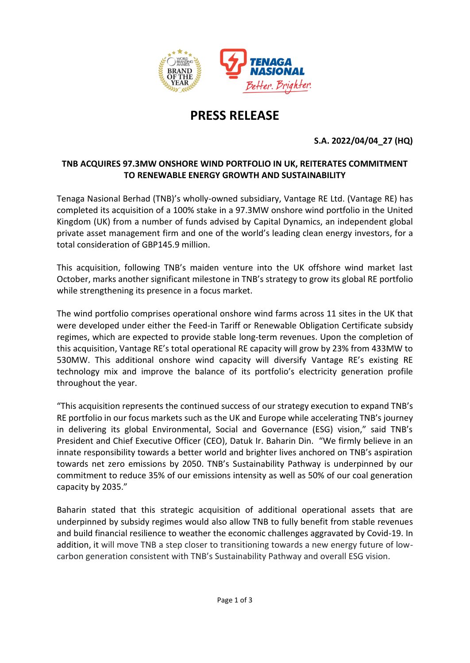

# **PRESS RELEASE**

## **S.A. 2022/04/04\_27 (HQ)**

### **TNB ACQUIRES 97.3MW ONSHORE WIND PORTFOLIO IN UK, REITERATES COMMITMENT TO RENEWABLE ENERGY GROWTH AND SUSTAINABILITY**

Tenaga Nasional Berhad (TNB)'s wholly-owned subsidiary, Vantage RE Ltd. (Vantage RE) has completed its acquisition of a 100% stake in a 97.3MW onshore wind portfolio in the United Kingdom (UK) from a number of funds advised by Capital Dynamics, an independent global private asset management firm and one of the world's leading clean energy investors, for a total consideration of GBP145.9 million.

This acquisition, following TNB's maiden venture into the UK offshore wind market last October, marks another significant milestone in TNB's strategy to grow its global RE portfolio while strengthening its presence in a focus market.

The wind portfolio comprises operational onshore wind farms across 11 sites in the UK that were developed under either the Feed-in Tariff or Renewable Obligation Certificate subsidy regimes, which are expected to provide stable long-term revenues. Upon the completion of this acquisition, Vantage RE's total operational RE capacity will grow by 23% from 433MW to 530MW. This additional onshore wind capacity will diversify Vantage RE's existing RE technology mix and improve the balance of its portfolio's electricity generation profile throughout the year.

"This acquisition represents the continued success of our strategy execution to expand TNB's RE portfolio in our focus markets such as the UK and Europe while accelerating TNB's journey in delivering its global Environmental, Social and Governance (ESG) vision," said TNB's President and Chief Executive Officer (CEO), Datuk Ir. Baharin Din. "We firmly believe in an innate responsibility towards a better world and brighter lives anchored on TNB's aspiration towards net zero emissions by 2050. TNB's Sustainability Pathway is underpinned by our commitment to reduce 35% of our emissions intensity as well as 50% of our coal generation capacity by 2035."

Baharin stated that this strategic acquisition of additional operational assets that are underpinned by subsidy regimes would also allow TNB to fully benefit from stable revenues and build financial resilience to weather the economic challenges aggravated by Covid-19. In addition, it will move TNB a step closer to transitioning towards a new energy future of lowcarbon generation consistent with TNB's Sustainability Pathway and overall ESG vision.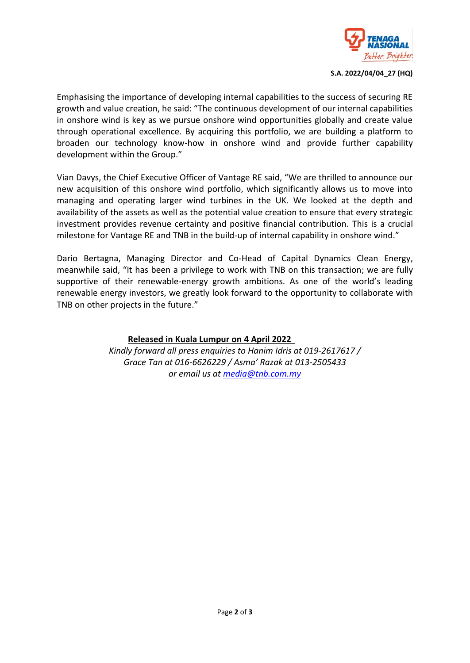

**S.A. 2022/04/04\_27 (HQ)**

Emphasising the importance of developing internal capabilities to the success of securing RE growth and value creation, he said: "The continuous development of our internal capabilities in onshore wind is key as we pursue onshore wind opportunities globally and create value through operational excellence. By acquiring this portfolio, we are building a platform to broaden our technology know-how in onshore wind and provide further capability development within the Group."

Vian Davys, the Chief Executive Officer of Vantage RE said, "We are thrilled to announce our new acquisition of this onshore wind portfolio, which significantly allows us to move into managing and operating larger wind turbines in the UK. We looked at the depth and availability of the assets as well as the potential value creation to ensure that every strategic investment provides revenue certainty and positive financial contribution. This is a crucial milestone for Vantage RE and TNB in the build-up of internal capability in onshore wind."

Dario Bertagna, Managing Director and Co-Head of Capital Dynamics Clean Energy, meanwhile said, "It has been a privilege to work with TNB on this transaction; we are fully supportive of their renewable-energy growth ambitions. As one of the world's leading renewable energy investors, we greatly look forward to the opportunity to collaborate with TNB on other projects in the future."

#### **Released in Kuala Lumpur on 4 April 2022**

*Kindly forward all press enquiries to Hanim Idris at 019-2617617 / Grace Tan at 016-6626229 / Asma' Razak at 013-2505433 or email us at media@tnb.com.my*